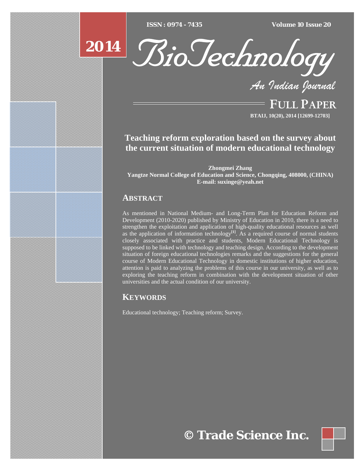$ISSN : 0974 - 7435$ 

*ISSN : 0974 - 7435 Volume 10 Issue 20*





*An Indian Journal*

FULL PAPER **BTAIJ, 10(20), 2014 [12699-12703]**

# **Teaching reform exploration based on the survey about the current situation of modern educational technology**

**Zhongmei Zhang Yangtze Normal College of Education and Science, Chongqing, 408000, (CHINA) E-mail: suxinge@yeah.net**

## **ABSTRACT**

As mentioned in National Medium- and Long-Term Plan for Education Reform and Development (2010-2020) published by Ministry of Education in 2010, there is a need to strengthen the exploitation and application of high-quality educational resources as well as the application of information technology<sup>[1]</sup>. As a required course of normal students closely associated with practice and students, Modern Educational Technology is supposed to be linked with technology and teaching design. According to the development situation of foreign educational technologies remarks and the suggestions for the general course of Modern Educational Technology in domestic institutions of higher education, attention is paid to analyzing the problems of this course in our university, as well as to exploring the teaching reform in combination with the development situation of other universities and the actual condition of our university.

## **KEYWORDS**

Educational technology; Teaching reform; Survey.

**© Trade Science Inc.**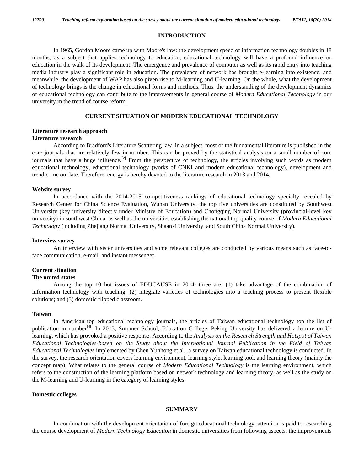#### **INTRODUCTION**

 In 1965, Gordon Moore came up with Moore's law: the development speed of information technology doubles in 18 months; as a subject that applies technology to education, educational technology will have a profound influence on education in the walk of its development. The emergence and prevalence of computer as well as its rapid entry into teaching media industry play a significant role in education. The prevalence of network has brought e-learning into existence, and meanwhile, the development of WAP has also given rise to M-learning and U-learning. On the whole, what the development of technology brings is the change in educational forms and methods. Thus, the understanding of the development dynamics of educational technology can contribute to the improvements in general course of *Modern Educational Technology* in our university in the trend of course reform.

### **CURRENT SITUATION OF MODERN EDUCATIONAL TECHNOLOGY**

## **Literature research approach**

## **Literature research**

 According to Bradford's Literature Scattering law, in a subject, most of the fundamental literature is published in the core journals that are relatively few in number. This can be proved by the statistical analysis on a small number of core journals that have a huge influence.**[2]** From the perspective of technology, the articles involving such words as modern educational technology, educational technology (works of CNKI and modern educational technology), development and trend come out late. Therefore, energy is hereby devoted to the literature research in 2013 and 2014.

#### **Website survey**

 In accordance with the 2014-2015 competitiveness rankings of educational technology specialty revealed by Research Center for China Science Evaluation, Wuhan University, the top five universities are constituted by Southwest University (key university directly under Ministry of Education) and Chongqing Normal University (provincial-level key university) in southwest China, as well as the universities establishing the national top-quality course of *Modern Educational Technology* (including Zhejiang Normal University, Shaanxi University, and South China Normal University).

#### **Interview survey**

 An interview with sister universities and some relevant colleges are conducted by various means such as face-toface communication, e-mail, and instant messenger.

#### **Current situation**

#### **The united states**

 Among the top 10 hot issues of EDUCAUSE in 2014, three are: (1) take advantage of the combination of information technology with teaching; (2) integrate varieties of technologies into a teaching process to present flexible solutions; and (3) domestic flipped classroom.

#### **Taiwan**

 In American top educational technology journals, the articles of Taiwan educational technology top the list of publication in number**[4]**. In 2013, Summer School, Education College, Peking University has delivered a lecture on Ulearning, which has provoked a positive response. According to the *Analysis on the Research Strength and Hotspot of Taiwan Educational Technologies-based on the Study about the International Journal Publication in the Field of Taiwan Educational Technologies* implemented by Chen Yunhong et al., a survey on Taiwan educational technology is conducted. In the survey, the research orientation covers learning environment, learning style, learning tool, and learning theory (mainly the concept map). What relates to the general course of *Modern Educational Technology* is the learning environment, which refers to the construction of the learning platform based on network technology and learning theory, as well as the study on the M-learning and U-learning in the category of learning styles.

## **Domestic colleges**

## **SUMMARY**

 In combination with the development orientation of foreign educational technology, attention is paid to researching the course development of *Modern Technology Education* in domestic universities from following aspects: the improvements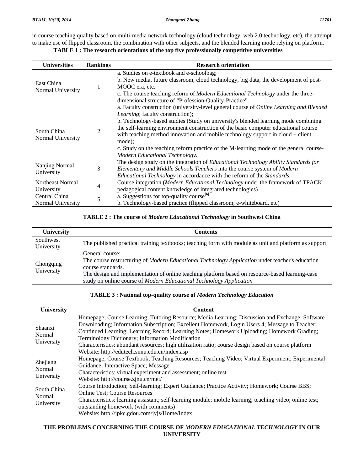in course teaching quality based on multi-media network technology (cloud technology, web 2.0 technology, etc), the attempt to make use of flipped classroom, the combination with other subjects, and the blended learning mode relying on platform.

**TABLE 1 : The research orientations of the top five professionally competitive universities** 

| <b>Universities</b>              | <b>Rankings</b> | <b>Research orientation</b>                                                                    |
|----------------------------------|-----------------|------------------------------------------------------------------------------------------------|
| East China<br>Normal University  | 1               | a. Studies on e-textbook and e-schoolbag;                                                      |
|                                  |                 | b. New media, future classroom, cloud technology, big data, the development of post-           |
|                                  |                 | MOOC era, etc.                                                                                 |
|                                  |                 | c. The course teaching reform of <i>Modern Educational Technology</i> under the three-         |
|                                  |                 | dimensional structure of "Profession-Quality-Practice".                                        |
|                                  |                 | a. Faculty construction (university-level general course of <i>Online Learning and Blended</i> |
| South China<br>Normal University | 2               | Learning; faculty construction);                                                               |
|                                  |                 | b. Technology-based studies (Study on university's blended learning mode combining             |
|                                  |                 | the self-learning environment construction of the basic computer educational course            |
|                                  |                 | with teaching method innovation and mobile technology support in cloud $+$ client              |
|                                  |                 | mode);                                                                                         |
|                                  |                 | c. Study on the teaching reform practice of the M-learning mode of the general course-         |
|                                  |                 | Modern Educational Technology.                                                                 |
| Nanjing Normal<br>University     | 3               | The design study on the integration of <i>Educational Technology Ability Standards for</i>     |
|                                  |                 | Elementary and Middle Schools Teachers into the course system of Modern                        |
|                                  |                 | <i>Educational Technology</i> in accordance with the reform of the <i>Standards</i> .          |
| Northeast Normal                 | 4               | Course integration (Modern Educational Technology under the framework of TPACK:                |
| University                       |                 | pedagogical content knowledge of integrated technologies)                                      |
| Central China                    | 5               | a. Suggestions for top-quality course <sup>[6]</sup> .                                         |
| Normal University                |                 | b. Technology-based practice (flipped classroom, e-whiteboard, etc)                            |

## **TABLE 2 : The course of** *Modern Educational Technology* **in Southwest China**

| <b>University</b>       | <b>Contents</b>                                                                                                                                                        |
|-------------------------|------------------------------------------------------------------------------------------------------------------------------------------------------------------------|
| Southwest<br>University | The published practical training textbooks; teaching form with module as unit and platform as support                                                                  |
| Chongqing<br>University | General course:<br>The course restructuring of Modern Educational Technology Application under teacher's education<br>course standards.                                |
|                         | The design and implementation of online teaching platform based on resource-based learning-case<br>study on online course of Modern Educational Technology Application |

## **TABLE 3 : National top-quality course of** *Modern Technology Education*

| University                          | <b>Content</b>                                                                                                                                                                                                                                                                                                                                                                                                                                                                                             |  |  |  |
|-------------------------------------|------------------------------------------------------------------------------------------------------------------------------------------------------------------------------------------------------------------------------------------------------------------------------------------------------------------------------------------------------------------------------------------------------------------------------------------------------------------------------------------------------------|--|--|--|
| Shaanxi<br>Normal<br>University     | Homepage; Course Learning; Tutoring Resource; Media Learning; Discussion and Exchange; Software<br>Downloading; Information Subscription; Excellent Homework, Login Users 4; Message to Teacher;<br>Continued Learning; Learning Record; Learning Notes; Homework Uploading; Homework Grading;<br>Terminology Dictionary; Information Modification<br>Characteristics: abundant resources; high utilization ratio; course design based on course platform<br>Website: http://edutech.snnu.edu.cn/index.asp |  |  |  |
| Zhejiang<br>Normal<br>University    | Homepage; Course Textbook; Teaching Resources; Teaching Video; Virtual Experiment; Experimental<br>Guidance; Interactive Space; Message<br>Characteristics: virtual experiment and assessment; online test<br>Website: http://course.zjnu.cn/met/                                                                                                                                                                                                                                                          |  |  |  |
| South China<br>Normal<br>University | Course Introduction; Self-learning; Expert Guidance; Practice Activity; Homework; Course BBS;<br><b>Online Test</b> ; Course Resources<br>Characteristics: learning assistant; self-learning module; mobile learning; teaching video; online test;<br>outstanding homework (with comments)<br>Website: http://jpkc.gdou.com/jyjs/Home/Index                                                                                                                                                                |  |  |  |

## **THE PROBLEMS CONCERNING THE COURSE OF** *MODERN EDUCATIONAL TECHNOLOGY* **IN OUR UNIVERSITY**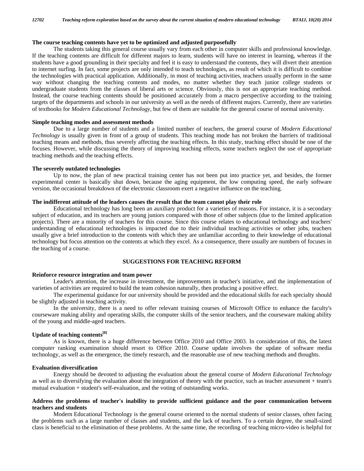## **The course teaching contents have yet to be optimized and adjusted purposefully**

 The students taking this general course usually vary from each other in computer skills and professional knowledge. If the teaching contents are difficult for different majors to learn, students will have no interest in learning, whereas if the students have a good grounding in their specialty and feel it is easy to understand the contents, they will divert their attention to internet surfing. In fact, some projects are only intended to teach technologies, as result of which it is difficult to combine the technologies with practical application. Additionally, in most of teaching activities, teachers usually perform in the same way without changing the teaching contents and modes, no matter whether they teach junior college students or undergraduate students from the classes of liberal arts or science. Obviously, this is not an appropriate teaching method. Instead, the course teaching contents should be positioned accurately from a macro perspective according to the training targets of the departments and schools in our university as well as the needs of different majors. Currently, there are varieties of textbooks for *Modern Educational Technology*, but few of them are suitable for the general course of normal university.

#### **Simple teaching modes and assessment methods**

 Due to a large number of students and a limited number of teachers, the general course of *Modern Educational Technology* is usually given in front of a group of students. This teaching mode has not broken the barriers of traditional teaching means and methods, thus severely affecting the teaching effects. In this study, teaching effect should be one of the focuses. However, while discussing the theory of improving teaching effects, some teachers neglect the use of appropriate teaching methods and the teaching effects.

#### **The severely outdated technologies**

 Up to now, the plan of new practical training center has not been put into practice yet, and besides, the former experimental center is basically shut down, because the aging equipment, the low computing speed, the early software version, the occasional breakdown of the electronic classroom exert a negative influence on the teaching.

## **The indifferent attitude of the leaders causes the result that the team cannot play their role**

 Educational technology has long been an auxiliary product for a varieties of reasons. For instance, it is a secondary subject of education, and its teachers are young juniors compared with those of other subjects (due to the limited application projects). There are a minority of teachers for this course. Since this course relates to educational technology and teachers' understanding of educational technologies is impacted due to their individual teaching activities or other jobs, teachers usually give a brief introduction to the contents with which they are unfamiliar according to their knowledge of educational technology but focus attention on the contents at which they excel. As a consequence, there usually are numbers of focuses in the teaching of a course.

## **SUGGESTIONS FOR TEACHING REFORM**

#### **Reinforce resource integration and team power**

 Leader's attention, the increase in investment, the improvements in teacher's initiative, and the implementation of varieties of activities are required to build the team cohesion naturally, then producing a positive effect.

 The experimental guidance for our university should be provided and the educational skills for each specialty should be slightly adjusted in teaching activity.

 In the university, there is a need to offer relevant training courses of Microsoft Office to enhance the faculty's courseware making ability and operating skills, the computer skills of the senior teachers, and the courseware making ability of the young and middle-aged teachers.

## **Update of teaching contents[8]**

 As is known, there is a huge difference between Office 2010 and Office 2003. In consideration of this, the latest computer ranking examination should resort to Office 2010. Course update involves the update of software media technology, as well as the emergence, the timely research, and the reasonable use of new teaching methods and thoughts.

#### **Evaluation diversification**

 Energy should be devoted to adjusting the evaluation about the general course of *Modern Educational Technology* as well as to diversifying the evaluation about the integration of theory with the practice, such as teacher assessment + team's mutual evaluation + student's self-evaluation, and the voting of outstanding works.

#### **Address the problems of teacher's inability to provide sufficient guidance and the poor communication between teachers and students**

 Modern Educational Technology is the general course oriented to the normal students of senior classes, often facing the problems such as a large number of classes and students, and the lack of teachers. To a certain degree, the small-sized class is beneficial to the elimination of these problems. At the same time, the recording of teaching micro-video is helpful for